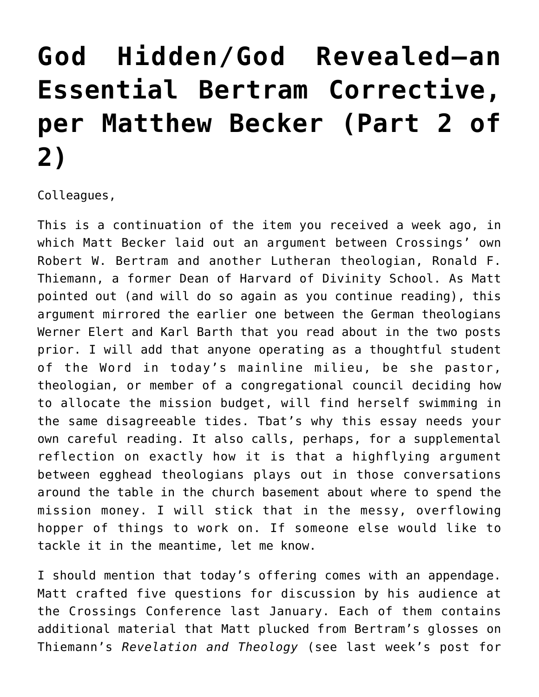## **[God Hidden/God Revealed—an](https://crossings.org/god-hidden-god-revealed-an-essential-bertram-corrective-per-matthew-becker-part-2-of-2/) [Essential Bertram Corrective,](https://crossings.org/god-hidden-god-revealed-an-essential-bertram-corrective-per-matthew-becker-part-2-of-2/) [per Matthew Becker \(Part 2 of](https://crossings.org/god-hidden-god-revealed-an-essential-bertram-corrective-per-matthew-becker-part-2-of-2/) [2\)](https://crossings.org/god-hidden-god-revealed-an-essential-bertram-corrective-per-matthew-becker-part-2-of-2/)**

Colleagues,

This is a continuation of the item you received a week ago, in which Matt Becker laid out an argument between Crossings' own Robert W. Bertram and another Lutheran theologian, Ronald F. Thiemann, a former Dean of Harvard of Divinity School. As Matt pointed out (and will do so again as you continue reading), this argument mirrored the earlier one between the German theologians Werner Elert and Karl Barth that you read about in the two posts prior. I will add that anyone operating as a thoughtful student of the Word in today's mainline milieu, be she pastor, theologian, or member of a congregational council deciding how to allocate the mission budget, will find herself swimming in the same disagreeable tides. Tbat's why this essay needs your own careful reading. It also calls, perhaps, for a supplemental reflection on exactly how it is that a highflying argument between egghead theologians plays out in those conversations around the table in the church basement about where to spend the mission money. I will stick that in the messy, overflowing hopper of things to work on. If someone else would like to tackle it in the meantime, let me know.

I should mention that today's offering comes with an appendage. Matt crafted five questions for discussion by his audience at the Crossings Conference last January. Each of them contains additional material that Matt plucked from Bertram's glosses on Thiemann's *Revelation and Theology* (see last week's post for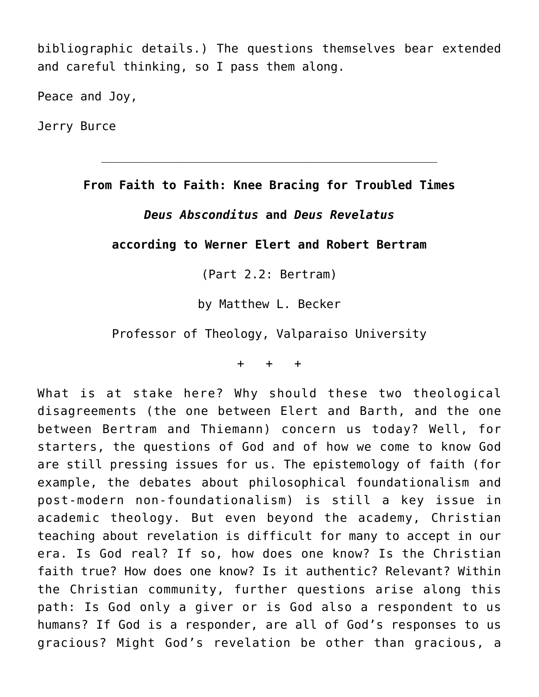bibliographic details.) The questions themselves bear extended and careful thinking, so I pass them along.

Peace and Joy,

Jerry Burce

**From Faith to Faith: Knee Bracing for Troubled Times**

 $\_$  . The contribution of the contribution of  $\mathcal{L}_\mathcal{A}$  , we can also the contribution of  $\mathcal{L}_\mathcal{A}$ 

## *Deus Absconditus* **and** *Deus Revelatus*

## **according to Werner Elert and Robert Bertram**

(Part 2.2: Bertram)

by Matthew L. Becker

Professor of Theology, Valparaiso University

+ + +

What is at stake here? Why should these two theological disagreements (the one between Elert and Barth, and the one between Bertram and Thiemann) concern us today? Well, for starters, the questions of God and of how we come to know God are still pressing issues for us. The epistemology of faith (for example, the debates about philosophical foundationalism and post-modern non-foundationalism) is still a key issue in academic theology. But even beyond the academy, Christian teaching about revelation is difficult for many to accept in our era. Is God real? If so, how does one know? Is the Christian faith true? How does one know? Is it authentic? Relevant? Within the Christian community, further questions arise along this path: Is God only a giver or is God also a respondent to us humans? If God is a responder, are all of God's responses to us gracious? Might God's revelation be other than gracious, a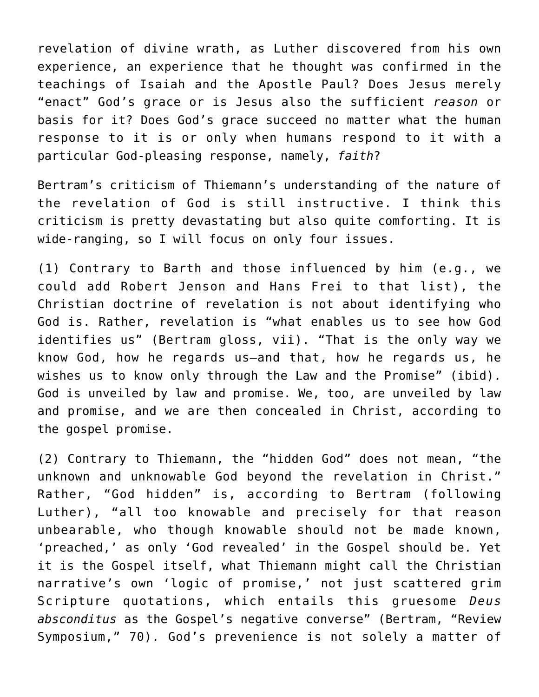revelation of divine wrath, as Luther discovered from his own experience, an experience that he thought was confirmed in the teachings of Isaiah and the Apostle Paul? Does Jesus merely "enact" God's grace or is Jesus also the sufficient *reason* or basis for it? Does God's grace succeed no matter what the human response to it is or only when humans respond to it with a particular God-pleasing response, namely, *faith*?

Bertram's criticism of Thiemann's understanding of the nature of the revelation of God is still instructive. I think this criticism is pretty devastating but also quite comforting. It is wide-ranging, so I will focus on only four issues.

(1) Contrary to Barth and those influenced by him (e.g., we could add Robert Jenson and Hans Frei to that list), the Christian doctrine of revelation is not about identifying who God is. Rather, revelation is "what enables us to see how God identifies us" (Bertram gloss, vii). "That is the only way we know God, how he regards us—and that, how he regards us, he wishes us to know only through the Law and the Promise" (ibid). God is unveiled by law and promise. We, too, are unveiled by law and promise, and we are then concealed in Christ, according to the gospel promise.

(2) Contrary to Thiemann, the "hidden God" does not mean, "the unknown and unknowable God beyond the revelation in Christ." Rather, "God hidden" is, according to Bertram (following Luther), "all too knowable and precisely for that reason unbearable, who though knowable should not be made known, 'preached,' as only 'God revealed' in the Gospel should be. Yet it is the Gospel itself, what Thiemann might call the Christian narrative's own 'logic of promise,' not just scattered grim Scripture quotations, which entails this gruesome *Deus absconditus* as the Gospel's negative converse" (Bertram, "Review Symposium," 70). God's prevenience is not solely a matter of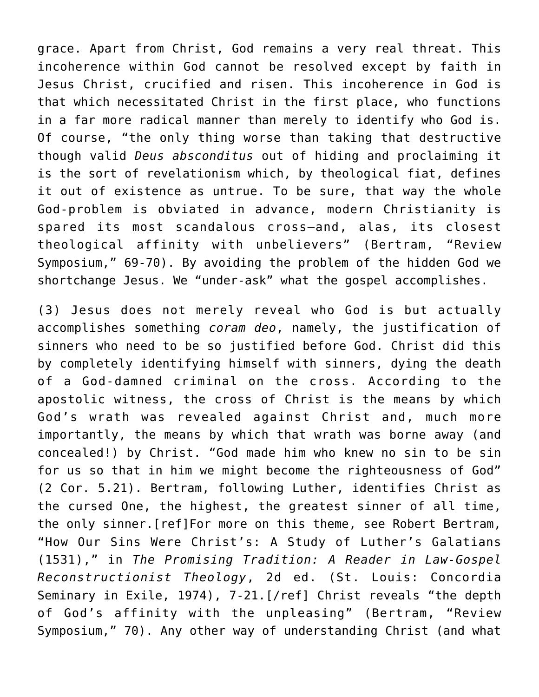grace. Apart from Christ, God remains a very real threat. This incoherence within God cannot be resolved except by faith in Jesus Christ, crucified and risen. This incoherence in God is that which necessitated Christ in the first place, who functions in a far more radical manner than merely to identify who God is. Of course, "the only thing worse than taking that destructive though valid *Deus absconditus* out of hiding and proclaiming it is the sort of revelationism which, by theological fiat, defines it out of existence as untrue. To be sure, that way the whole God-problem is obviated in advance, modern Christianity is spared its most scandalous cross—and, alas, its closest theological affinity with unbelievers" (Bertram, "Review Symposium," 69-70). By avoiding the problem of the hidden God we shortchange Jesus. We "under-ask" what the gospel accomplishes.

(3) Jesus does not merely reveal who God is but actually accomplishes something *coram deo*, namely, the justification of sinners who need to be so justified before God. Christ did this by completely identifying himself with sinners, dying the death of a God-damned criminal on the cross. According to the apostolic witness, the cross of Christ is the means by which God's wrath was revealed against Christ and, much more importantly, the means by which that wrath was borne away (and concealed!) by Christ. "God made him who knew no sin to be sin for us so that in him we might become the righteousness of God" (2 Cor. 5.21). Bertram, following Luther, identifies Christ as the cursed One, the highest, the greatest sinner of all time, the only sinner.[ref]For more on this theme, see Robert Bertram, "How Our Sins Were Christ's: A Study of Luther's Galatians (1531)," in *The Promising Tradition: A Reader in Law-Gospel Reconstructionist Theology*, 2d ed. (St. Louis: Concordia Seminary in Exile, 1974), 7-21.[/ref] Christ reveals "the depth of God's affinity with the unpleasing" (Bertram, "Review Symposium," 70). Any other way of understanding Christ (and what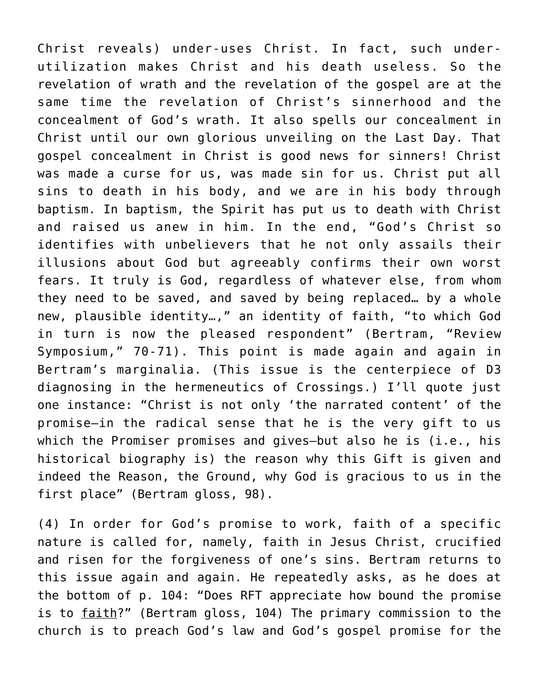Christ reveals) under-uses Christ. In fact, such underutilization makes Christ and his death useless. So the revelation of wrath and the revelation of the gospel are at the same time the revelation of Christ's sinnerhood and the concealment of God's wrath. It also spells our concealment in Christ until our own glorious unveiling on the Last Day. That gospel concealment in Christ is good news for sinners! Christ was made a curse for us, was made sin for us. Christ put all sins to death in his body, and we are in his body through baptism. In baptism, the Spirit has put us to death with Christ and raised us anew in him. In the end, "God's Christ so identifies with unbelievers that he not only assails their illusions about God but agreeably confirms their own worst fears. It truly is God, regardless of whatever else, from whom they need to be saved, and saved by being replaced… by a whole new, plausible identity…," an identity of faith, "to which God in turn is now the pleased respondent" (Bertram, "Review Symposium," 70-71). This point is made again and again in Bertram's marginalia. (This issue is the centerpiece of D3 diagnosing in the hermeneutics of Crossings.) I'll quote just one instance: "Christ is not only 'the narrated content' of the promise—in the radical sense that he is the very gift to us which the Promiser promises and gives—but also he is (i.e., his historical biography is) the reason why this Gift is given and indeed the Reason, the Ground, why God is gracious to us in the first place" (Bertram gloss, 98).

(4) In order for God's promise to work, faith of a specific nature is called for, namely, faith in Jesus Christ, crucified and risen for the forgiveness of one's sins. Bertram returns to this issue again and again. He repeatedly asks, as he does at the bottom of p. 104: "Does RFT appreciate how bound the promise is to faith?" (Bertram gloss, 104) The primary commission to the church is to preach God's law and God's gospel promise for the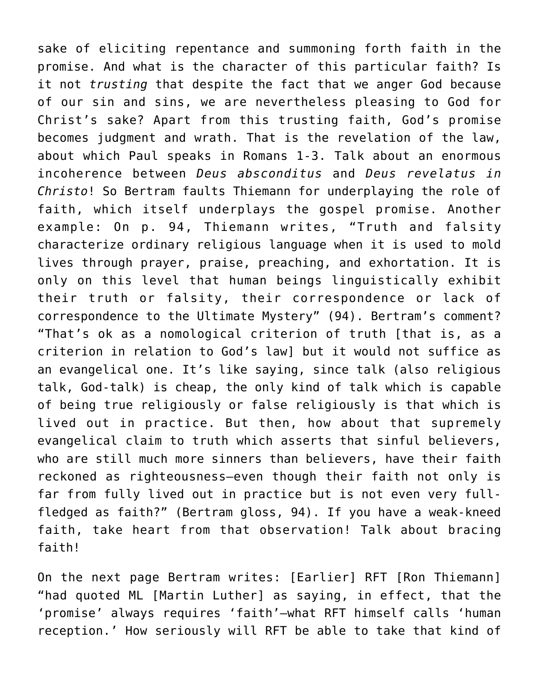sake of eliciting repentance and summoning forth faith in the promise. And what is the character of this particular faith? Is it not *trusting* that despite the fact that we anger God because of our sin and sins, we are nevertheless pleasing to God for Christ's sake? Apart from this trusting faith, God's promise becomes judgment and wrath. That is the revelation of the law, about which Paul speaks in Romans 1-3. Talk about an enormous incoherence between *Deus absconditus* and *Deus revelatus in Christo*! So Bertram faults Thiemann for underplaying the role of faith, which itself underplays the gospel promise. Another example: On p. 94, Thiemann writes, "Truth and falsity characterize ordinary religious language when it is used to mold lives through prayer, praise, preaching, and exhortation. It is only on this level that human beings linguistically exhibit their truth or falsity, their correspondence or lack of correspondence to the Ultimate Mystery" (94). Bertram's comment? "That's ok as a nomological criterion of truth [that is, as a criterion in relation to God's law] but it would not suffice as an evangelical one. It's like saying, since talk (also religious talk, God-talk) is cheap, the only kind of talk which is capable of being true religiously or false religiously is that which is lived out in practice. But then, how about that supremely evangelical claim to truth which asserts that sinful believers, who are still much more sinners than believers, have their faith reckoned as righteousness—even though their faith not only is far from fully lived out in practice but is not even very fullfledged as faith?" (Bertram gloss, 94). If you have a weak-kneed faith, take heart from that observation! Talk about bracing faith!

On the next page Bertram writes: [Earlier] RFT [Ron Thiemann] "had quoted ML [Martin Luther] as saying, in effect, that the 'promise' always requires 'faith'—what RFT himself calls 'human reception.' How seriously will RFT be able to take that kind of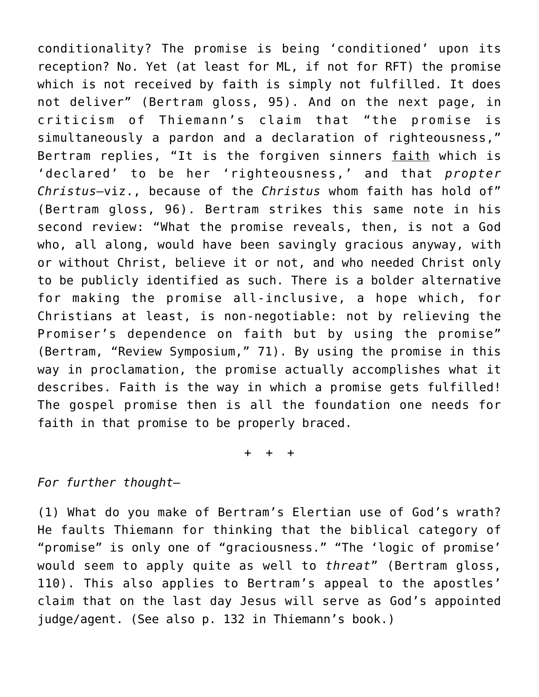conditionality? The promise is being 'conditioned' upon its reception? No. Yet (at least for ML, if not for RFT) the promise which is not received by faith is simply not fulfilled. It does not deliver" (Bertram gloss, 95). And on the next page, in criticism of Thiemann's claim that "the promise is simultaneously a pardon and a declaration of righteousness," Bertram replies, "It is the forgiven sinners faith which is 'declared' to be her 'righteousness,' and that *propter Christus*—viz., because of the *Christus* whom faith has hold of" (Bertram gloss, 96). Bertram strikes this same note in his second review: "What the promise reveals, then, is not a God who, all along, would have been savingly gracious anyway, with or without Christ, believe it or not, and who needed Christ only to be publicly identified as such. There is a bolder alternative for making the promise all-inclusive, a hope which, for Christians at least, is non-negotiable: not by relieving the Promiser's dependence on faith but by using the promise" (Bertram, "Review Symposium," 71). By using the promise in this way in proclamation, the promise actually accomplishes what it describes. Faith is the way in which a promise gets fulfilled! The gospel promise then is all the foundation one needs for faith in that promise to be properly braced.

+ + +

## *For further thought—*

(1) What do you make of Bertram's Elertian use of God's wrath? He faults Thiemann for thinking that the biblical category of "promise" is only one of "graciousness." "The 'logic of promise' would seem to apply quite as well to *threat*" (Bertram gloss, 110). This also applies to Bertram's appeal to the apostles' claim that on the last day Jesus will serve as God's appointed judge/agent. (See also p. 132 in Thiemann's book.)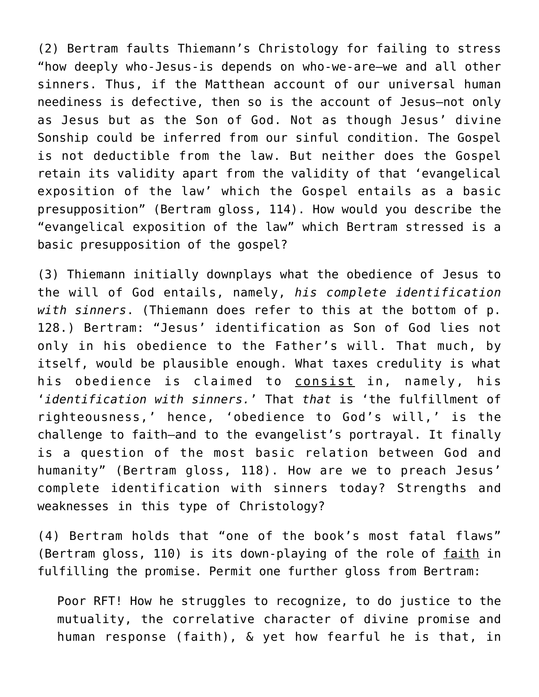(2) Bertram faults Thiemann's Christology for failing to stress "how deeply who-Jesus-is depends on who-we-are—we and all other sinners. Thus, if the Matthean account of our universal human neediness is defective, then so is the account of Jesus—not only as Jesus but as the Son of God. Not as though Jesus' divine Sonship could be inferred from our sinful condition. The Gospel is not deductible from the law. But neither does the Gospel retain its validity apart from the validity of that 'evangelical exposition of the law' which the Gospel entails as a basic presupposition" (Bertram gloss, 114). How would you describe the "evangelical exposition of the law" which Bertram stressed is a basic presupposition of the gospel?

(3) Thiemann initially downplays what the obedience of Jesus to the will of God entails, namely, *his complete identification with sinners*. (Thiemann does refer to this at the bottom of p. 128.) Bertram: "Jesus' identification as Son of God lies not only in his obedience to the Father's will. That much, by itself, would be plausible enough. What taxes credulity is what his obedience is claimed to **consist** in, namely, his '*identification with sinners.*' That *that* is 'the fulfillment of righteousness,' hence, 'obedience to God's will,' is the challenge to faith—and to the evangelist's portrayal. It finally is a question of the most basic relation between God and humanity" (Bertram gloss, 118). How are we to preach Jesus' complete identification with sinners today? Strengths and weaknesses in this type of Christology?

(4) Bertram holds that "one of the book's most fatal flaws" (Bertram gloss, 110) is its down-playing of the role of faith in fulfilling the promise. Permit one further gloss from Bertram:

Poor RFT! How he struggles to recognize, to do justice to the mutuality, the correlative character of divine promise and human response (faith), & yet how fearful he is that, in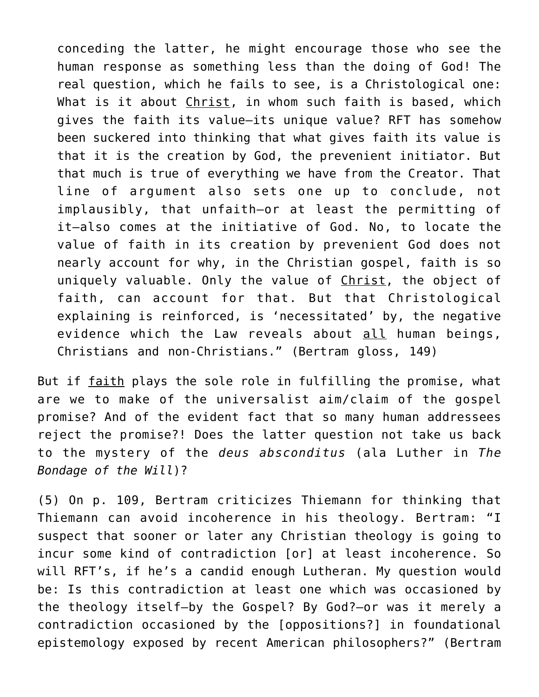conceding the latter, he might encourage those who see the human response as something less than the doing of God! The real question, which he fails to see, is a Christological one: What is it about Christ, in whom such faith is based, which gives the faith its value—its unique value? RFT has somehow been suckered into thinking that what gives faith its value is that it is the creation by God, the prevenient initiator. But that much is true of everything we have from the Creator. That line of argument also sets one up to conclude, not implausibly, that unfaith—or at least the permitting of it—also comes at the initiative of God. No, to locate the value of faith in its creation by prevenient God does not nearly account for why, in the Christian gospel, faith is so uniquely valuable. Only the value of Christ, the object of faith, can account for that. But that Christological explaining is reinforced, is 'necessitated' by, the negative evidence which the Law reveals about all human beings, Christians and non-Christians." (Bertram gloss, 149)

But if faith plays the sole role in fulfilling the promise, what are we to make of the universalist aim/claim of the gospel promise? And of the evident fact that so many human addressees reject the promise?! Does the latter question not take us back to the mystery of the *deus absconditus* (ala Luther in *The Bondage of the Will*)?

(5) On p. 109, Bertram criticizes Thiemann for thinking that Thiemann can avoid incoherence in his theology. Bertram: "I suspect that sooner or later any Christian theology is going to incur some kind of contradiction [or] at least incoherence. So will RFT's, if he's a candid enough Lutheran. My question would be: Is this contradiction at least one which was occasioned by the theology itself—by the Gospel? By God?—or was it merely a contradiction occasioned by the [oppositions?] in foundational epistemology exposed by recent American philosophers?" (Bertram